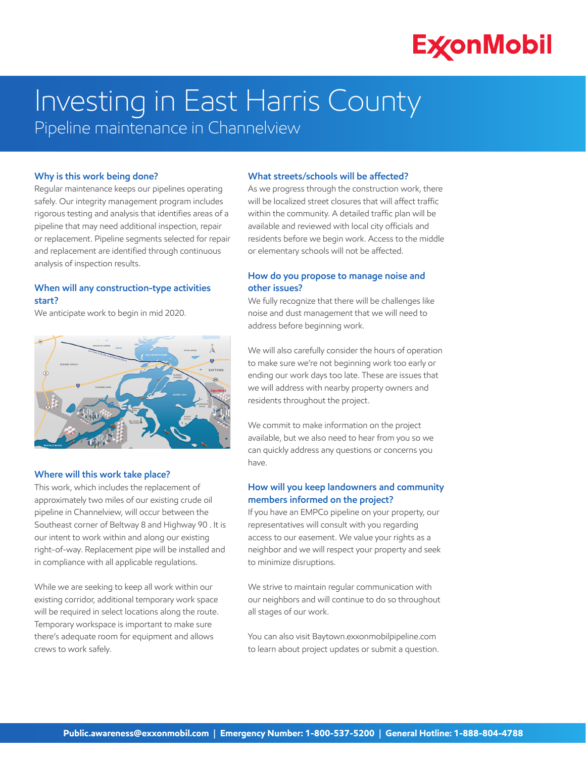# **ExconMobil**

# Investing in East Harris County

Pipeline maintenance in Channelview

#### **Why is this work being done?**

Regular maintenance keeps our pipelines operating safely. Our integrity management program includes rigorous testing and analysis that identifies areas of a pipeline that may need additional inspection, repair or replacement. Pipeline segments selected for repair and replacement are identified through continuous analysis of inspection results.

### **When will any construction-type activities start?**

We anticipate work to begin in mid 2020.



## **Where will this work take place?**

This work, which includes the replacement of approximately two miles of our existing crude oil pipeline in Channelview, will occur between the Southeast corner of Beltway 8 and Highway 90 . It is our intent to work within and along our existing right-of-way. Replacement pipe will be installed and in compliance with all applicable regulations.

While we are seeking to keep all work within our existing corridor, additional temporary work space will be required in select locations along the route. Temporary workspace is important to make sure there's adequate room for equipment and allows crews to work safely.

#### **What streets/schools will be affected?**

As we progress through the construction work, there will be localized street closures that will affect traffic within the community. A detailed traffic plan will be available and reviewed with local city officials and residents before we begin work. Access to the middle or elementary schools will not be affected.

## **How do you propose to manage noise and other issues?**

We fully recognize that there will be challenges like noise and dust management that we will need to address before beginning work.

We will also carefully consider the hours of operation to make sure we're not beginning work too early or ending our work days too late. These are issues that we will address with nearby property owners and residents throughout the project.

We commit to make information on the project available, but we also need to hear from you so we can quickly address any questions or concerns you have.

# **How will you keep landowners and community members informed on the project?**

If you have an EMPCo pipeline on your property, our representatives will consult with you regarding access to our easement. We value your rights as a neighbor and we will respect your property and seek to minimize disruptions.

We strive to maintain regular communication with our neighbors and will continue to do so throughout all stages of our work.

You can also visit Baytown.exxonmobilpipeline.com to learn about project updates or submit a question.